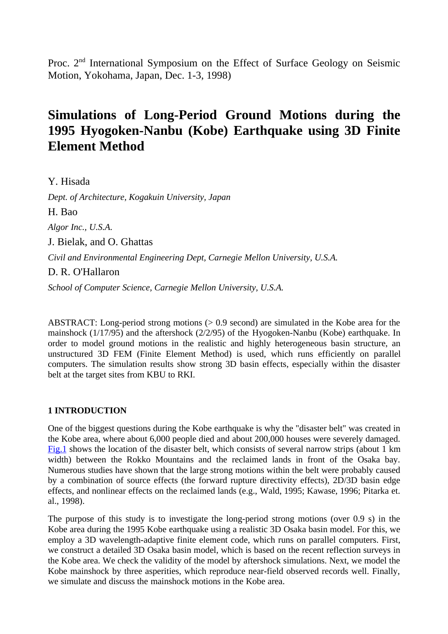Proc. 2<sup>nd</sup> International Symposium on the Effect of Surface Geology on Seismic Motion, Yokohama, Japan, Dec. 1-3, 1998)

# **Simulations of Long-Period Ground Motions during the 1995 Hyogoken-Nanbu (Kobe) Earthquake using 3D Finite Element Method**

Y. Hisada

*Dept. of Architecture, Kogakuin University, Japan*

H. Bao

*Algor Inc., U.S.A.*

J. Bielak, and O. Ghattas

*Civil and Environmental Engineering Dept, Carnegie Mellon University, U.S.A.*

D. R. O'Hallaron

*School of Computer Science, Carnegie Mellon University, U.S.A.*

ABSTRACT: Long-period strong motions (> 0.9 second) are simulated in the Kobe area for the mainshock (1/17/95) and the aftershock (2/2/95) of the Hyogoken-Nanbu (Kobe) earthquake. In order to model ground motions in the realistic and highly heterogeneous basin structure, an unstructured 3D FEM (Finite Element Method) is used, which runs efficiently on parallel computers. The simulation results show strong 3D basin effects, especially within the disaster belt at the target sites from KBU to RKI.

# **1 INTRODUCTION**

One of the biggest questions during the Kobe earthquake is why the "disaster belt" was created in the Kobe area, where about 6,000 people died and about 200,000 houses were severely damaged. Fig.1 shows the location of the disaster belt, which consists of several narrow strips (about 1 km width) between the Rokko Mountains and the reclaimed lands in front of the Osaka bay. Numerous studies have shown that the large strong motions within the belt were probably caused by a combination of source effects (the forward rupture directivity effects), 2D/3D basin edge effects, and nonlinear effects on the reclaimed lands (e.g., Wald, 1995; Kawase, 1996; Pitarka et. al., 1998).

The purpose of this study is to investigate the long-period strong motions (over 0.9 s) in the Kobe area during the 1995 Kobe earthquake using a realistic 3D Osaka basin model. For this, we employ a 3D wavelength-adaptive finite element code, which runs on parallel computers. First, we construct a detailed 3D Osaka basin model, which is based on the recent reflection surveys in the Kobe area. We check the validity of the model by aftershock simulations. Next, we model the Kobe mainshock by three asperities, which reproduce near-field observed records well. Finally, we simulate and discuss the mainshock motions in the Kobe area.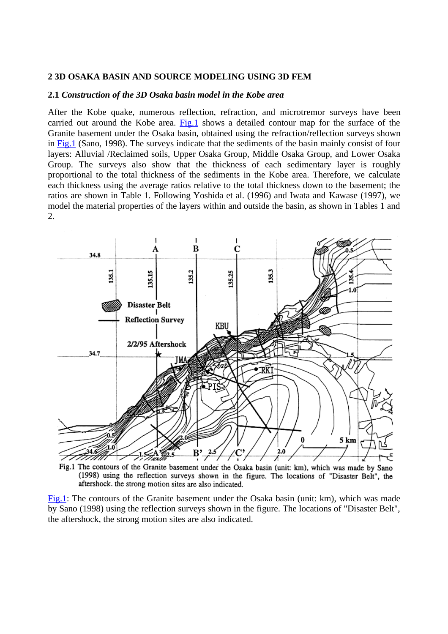#### **2 3D OSAKA BASIN AND SOURCE MODELING USING 3D FEM**

# **2.1** *Construction of the 3D Osaka basin model in the Kobe area*

After the Kobe quake, numerous reflection, refraction, and microtremor surveys have been carried out around the Kobe area. Fig.1 shows a detailed contour map for the surface of the Granite basement under the Osaka basin, obtained using the refraction/reflection surveys shown in Fig.1 (Sano, 1998). The surveys indicate that the sediments of the basin mainly consist of four layers: Alluvial /Reclaimed soils, Upper Osaka Group, Middle Osaka Group, and Lower Osaka Group. The surveys also show that the thickness of each sedimentary layer is roughly proportional to the total thickness of the sediments in the Kobe area. Therefore, we calculate each thickness using the average ratios relative to the total thickness down to the basement; the ratios are shown in Table 1. Following Yoshida et al. (1996) and Iwata and Kawase (1997), we model the material properties of the layers within and outside the basin, as shown in Tables 1 and 2.



Fig.1 The contours of the Granite basement under the Osaka basin (unit: km), which was made by Sano (1998) using the reflection surveys shown in the figure. The locations of "Disaster Belt", the aftershock, the strong motion sites are also indicated.

Fig.1: The contours of the Granite basement under the Osaka basin (unit: km), which was made by Sano (1998) using the reflection surveys shown in the figure. The locations of "Disaster Belt", the aftershock, the strong motion sites are also indicated.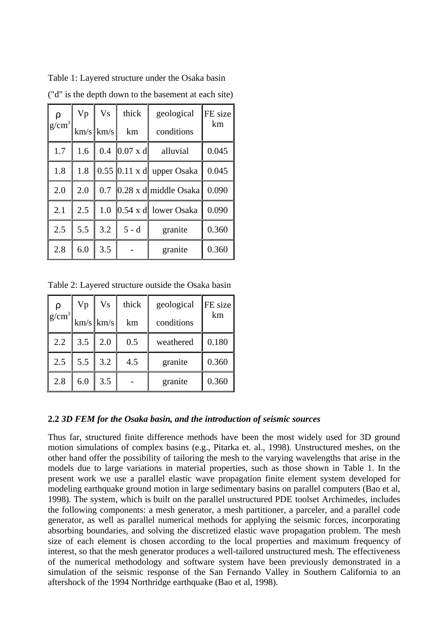| $ g/cm^3 $ | Vp  | <b>Vs</b>   | thick                 | geological                              | FE size<br>km |  |
|------------|-----|-------------|-----------------------|-----------------------------------------|---------------|--|
|            |     | $km/s$ km/s | km                    | conditions                              |               |  |
| 1.7        | 1.6 |             | 0.4 $[0.07 \times d]$ | alluvial                                |               |  |
| 1.8        | 1.8 |             |                       | $0.55$ 0.11 x d upper Osaka             | 0.045         |  |
| 2.0        | 2.0 |             |                       | 0.7 $\vert$ 0.28 x d middle Osaka       | 0.090         |  |
| 2.1        | 2.5 | 1.0         |                       | $\vert 0.54 \times d \vert$ lower Osaka | 0.090         |  |
| 2.5        | 5.5 | 3.2         | $5 - d$               | granite                                 | 0.360         |  |
| 2.8        | 6.0 | 3.5         |                       | granite                                 | 0.360         |  |

Table 1: Layered structure under the Osaka basin ("d" is the depth down to the basement at each site)

Table 2: Layered structure outside the Osaka basin

| $ g/cm^3 $ | Vp              | <b>Vs</b>   | thick | geological | $ FE $ size |
|------------|-----------------|-------------|-------|------------|-------------|
|            |                 | $km/s$ km/s | km    | conditions | km          |
| 2.2        | $3.5 \parallel$ | 2.0         | 0.5   | weathered  | 0.180       |
| 2.5        |                 | $5.5$   3.2 | 4.5   | granite    | 0.360       |
| 2.8        | 6.0             | 3.5         |       | granite    | 0.360       |

# **2.2** *3D FEM for the Osaka basin, and the introduction of seismic sources*

Thus far, structured finite difference methods have been the most widely used for 3D ground motion simulations of complex basins (e.g., Pitarka et. al., 1998). Unstructured meshes, on the other hand offer the possibility of tailoring the mesh to the varying wavelengths that arise in the models due to large variations in material properties, such as those shown in Table 1. In the present work we use a parallel elastic wave propagation finite element system developed for modeling earthquake ground motion in large sedimentary basins on parallel computers (Bao et al, 1998). The system, which is built on the parallel unstructured PDE toolset Archimedes, includes the following components: a mesh generator, a mesh partitioner, a parceler, and a parallel code generator, as well as parallel numerical methods for applying the seismic forces, incorporating absorbing boundaries, and solving the discretized elastic wave propagation problem. The mesh size of each element is chosen according to the local properties and maximum frequency of interest, so that the mesh generator produces a well-tailored unstructured mesh. The effectiveness of the numerical methodology and software system have been previously demonstrated in a simulation of the seismic response of the San Fernando Valley in Southern California to an aftershock of the 1994 Northridge earthquake (Bao et al, 1998).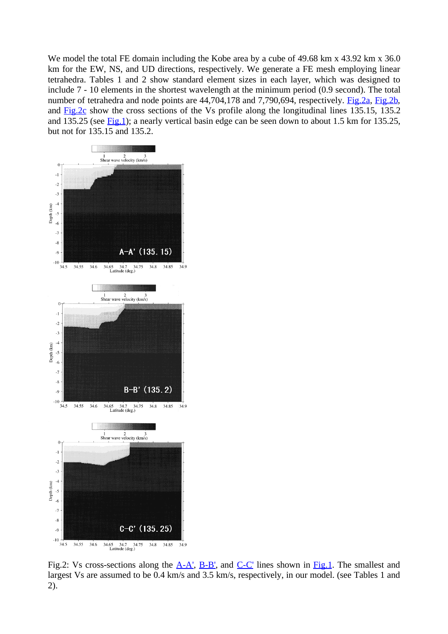We model the total FE domain including the Kobe area by a cube of 49.68 km x 43.92 km x 36.0 km for the EW, NS, and UD directions, respectively. We generate a FE mesh employing linear tetrahedra. Tables 1 and 2 show standard element sizes in each layer, which was designed to include 7 - 10 elements in the shortest wavelength at the minimum period (0.9 second). The total number of tetrahedra and node points are 44,704,178 and 7,790,694, respectively. Fig.2a, Fig.2b, and Fig. 2c show the cross sections of the Vs profile along the longitudinal lines 135.15, 135.2 and 135.25 (see  $Fig.1$ ); a nearly vertical basin edge can be seen down to about 1.5 km for 135.25, but not for 135.15 and 135.2.



Fig.2: Vs cross-sections along the A-A', B-B', and C-C' lines shown in Fig.1. The smallest and largest Vs are assumed to be 0.4 km/s and 3.5 km/s, respectively, in our model. (see Tables 1 and 2).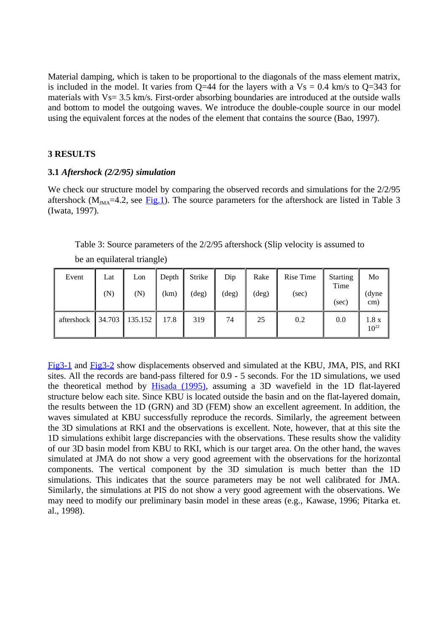Material damping, which is taken to be proportional to the diagonals of the mass element matrix, is included in the model. It varies from Q=44 for the layers with a  $Vs = 0.4$  km/s to Q=343 for materials with Vs= 3.5 km/s. First-order absorbing boundaries are introduced at the outside walls and bottom to model the outgoing waves. We introduce the double-couple source in our model using the equivalent forces at the nodes of the element that contains the source (Bao, 1997).

## **3 RESULTS**

#### **3.1** *Aftershock (2/2/95) simulation*

be an equilateral triangle)

We check our structure model by comparing the observed records and simulations for the  $2/2/95$ aftershock ( $M<sub>MA</sub>=4.2$ , see Fig.1). The source parameters for the aftershock are listed in Table 3 (Iwata, 1997).

| Event      | Lat<br>(N) | Lon<br>(N) | Depth<br>(km) | Strike<br>$(\text{deg})$ | Dip<br>(deg) | Rake<br>(deg) | Rise Time<br>(sec) | <b>Starting</b><br>Time<br>(sec) | Mo<br>(dyne<br>cm) |
|------------|------------|------------|---------------|--------------------------|--------------|---------------|--------------------|----------------------------------|--------------------|
| aftershock | 34.703     | 135.152    | 17.8          | 319                      | 74           | 25            | 0.2                | 0.0                              | 1.8 x<br>$10^{22}$ |

Table 3: Source parameters of the 2/2/95 aftershock (Slip velocity is assumed to

Fig3-1 and Fig3-2 show displacements observed and simulated at the KBU, JMA, PIS, and RKI sites. All the records are band-pass filtered for 0.9 - 5 seconds. For the 1D simulations, we used the theoretical method by Hisada (1995), assuming a 3D wavefield in the 1D flat-layered structure below each site. Since KBU is located outside the basin and on the flat-layered domain, the results between the 1D (GRN) and 3D (FEM) show an excellent agreement. In addition, the waves simulated at KBU successfully reproduce the records. Similarly, the agreement between the 3D simulations at RKI and the observations is excellent. Note, however, that at this site the 1D simulations exhibit large discrepancies with the observations. These results show the validity of our 3D basin model from KBU to RKI, which is our target area. On the other hand, the waves simulated at JMA do not show a very good agreement with the observations for the horizontal components. The vertical component by the 3D simulation is much better than the 1D simulations. This indicates that the source parameters may be not well calibrated for JMA. Similarly, the simulations at PIS do not show a very good agreement with the observations. We may need to modify our preliminary basin model in these areas (e.g., Kawase, 1996; Pitarka et. al., 1998).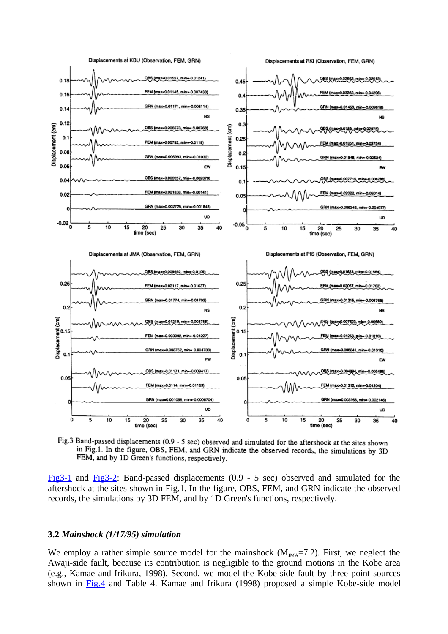

Fig.3 Band-passed displacements (0.9 - 5 sec) observed and simulated for the aftershock at the sites shown in Fig.1. In the figure, OBS, FEM, and GRN indicate the observed records, the simulations by 3D FEM, and by 1D Green's functions, respectively.

Fig3-1 and Fig3-2: Band-passed displacements (0.9 - 5 sec) observed and simulated for the aftershock at the sites shown in Fig.1. In the figure, OBS, FEM, and GRN indicate the observed records, the simulations by 3D FEM, and by 1D Green's functions, respectively.

# **3.2** *Mainshock (1/17/95) simulation*

We employ a rather simple source model for the mainshock  $(M<sub>MA</sub>=7.2)$ . First, we neglect the Awaji-side fault, because its contribution is negligible to the ground motions in the Kobe area (e.g., Kamae and Irikura, 1998). Second, we model the Kobe-side fault by three point sources shown in Fig.4 and Table 4. Kamae and Irikura (1998) proposed a simple Kobe-side model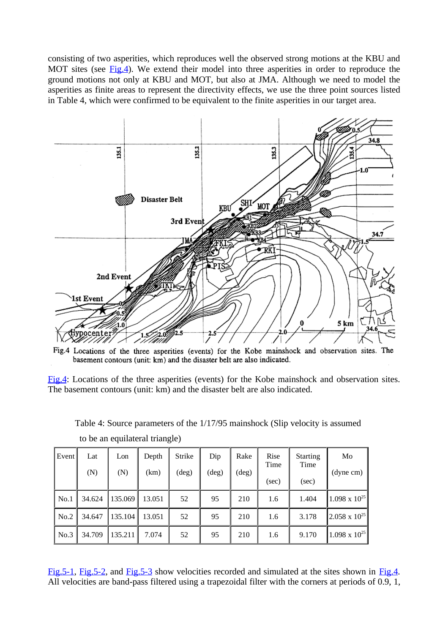consisting of two asperities, which reproduces well the observed strong motions at the KBU and MOT sites (see Fig.4). We extend their model into three asperities in order to reproduce the ground motions not only at KBU and MOT, but also at JMA. Although we need to model the asperities as finite areas to represent the directivity effects, we use the three point sources listed in Table 4, which were confirmed to be equivalent to the finite asperities in our target area.



Fig.4 Locations of the three asperities (events) for the Kobe mainshock and observation sites. The basement contours (unit: km) and the disaster belt are also indicated.

Fig.4: Locations of the three asperities (events) for the Kobe mainshock and observation sites. The basement contours (unit: km) and the disaster belt are also indicated.

Table 4: Source parameters of the 1/17/95 mainshock (Slip velocity is assumed

| Event | Lat<br>(N) | Lon<br>(N) | Depth<br>(km) | Strike<br>$(\text{deg})$ | Dip<br>$(\text{deg})$ | Rake<br>$(\text{deg})$ | Rise<br>Time<br>(sec) | <b>Starting</b><br>Time<br>(sec) | Mo<br>(dyne cm)        |
|-------|------------|------------|---------------|--------------------------|-----------------------|------------------------|-----------------------|----------------------------------|------------------------|
| No.1  | 34.624     | 135.069    | 13.051        | 52                       | 95                    | 210                    | 1.6                   | 1.404                            | $1.098 \times 10^{25}$ |
| No.2  | 34.647     | 135.104    | 13.051        | 52                       | 95                    | 210                    | 1.6                   | 3.178                            | $2.058 \times 10^{25}$ |
| No.3  | 34.709     | 135.211    | 7.074         | 52                       | 95                    | 210                    | 1.6                   | 9.170                            | $1.098 \times 10^{25}$ |

to be an equilateral triangle)

Fig. 5-1, Fig. 5-2, and Fig. 5-3 show velocities recorded and simulated at the sites shown in Fig. 4. All velocities are band-pass filtered using a trapezoidal filter with the corners at periods of 0.9, 1,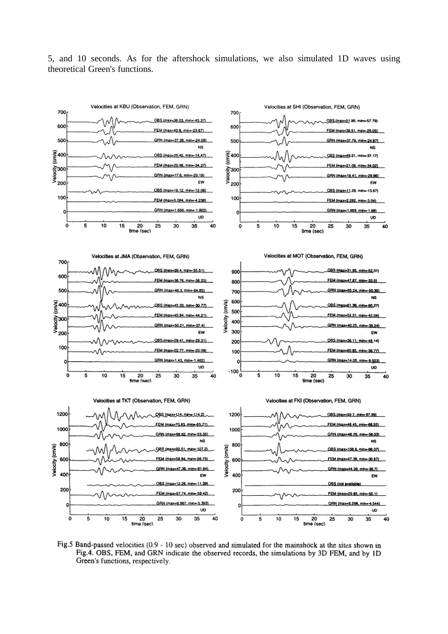5, and 10 seconds. As for the aftershock simulations, we also simulated 1D waves using theoretical Green's functions.



Fig.5 Band-passed velocities (0.9 - 10 sec) observed and simulated for the mainshock at the sites shown in Fig.4. OBS, FEM, and GRN indicate the observed records, the simulations by 3D FEM, and by 1D Green's functions, respectively.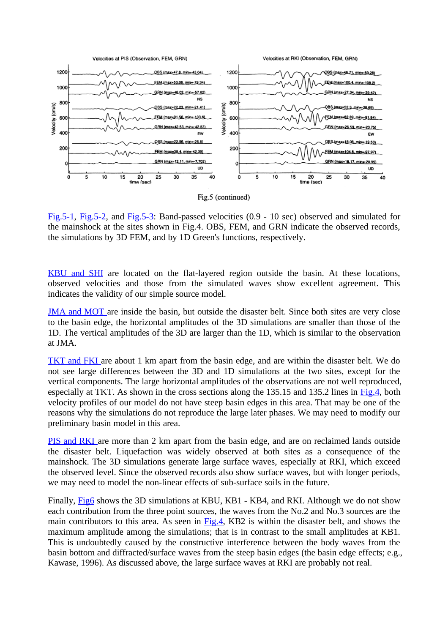

Fig.5 (continued)

Fig.5-1, Fig.5-2, and Fig.5-3: Band-passed velocities (0.9 - 10 sec) observed and simulated for the mainshock at the sites shown in Fig.4. OBS, FEM, and GRN indicate the observed records, the simulations by 3D FEM, and by 1D Green's functions, respectively.

KBU and SHI are located on the flat-layered region outside the basin. At these locations, observed velocities and those from the simulated waves show excellent agreement. This indicates the validity of our simple source model.

JMA and MOT are inside the basin, but outside the disaster belt. Since both sites are very close to the basin edge, the horizontal amplitudes of the 3D simulations are smaller than those of the 1D. The vertical amplitudes of the 3D are larger than the 1D, which is similar to the observation at JMA.

TKT and FKI are about 1 km apart from the basin edge, and are within the disaster belt. We do not see large differences between the 3D and 1D simulations at the two sites, except for the vertical components. The large horizontal amplitudes of the observations are not well reproduced, especially at TKT. As shown in the cross sections along the 135.15 and 135.2 lines in Fig.4, both velocity profiles of our model do not have steep basin edges in this area. That may be one of the reasons why the simulations do not reproduce the large later phases. We may need to modify our preliminary basin model in this area.

PIS and RKI are more than 2 km apart from the basin edge, and are on reclaimed lands outside the disaster belt. Liquefaction was widely observed at both sites as a consequence of the mainshock. The 3D simulations generate large surface waves, especially at RKI, which exceed the observed level. Since the observed records also show surface waves, but with longer periods, we may need to model the non-linear effects of sub-surface soils in the future.

Finally, Fig6 shows the 3D simulations at KBU, KB1 - KB4, and RKI. Although we do not show each contribution from the three point sources, the waves from the No.2 and No.3 sources are the main contributors to this area. As seen in Fig.4, KB2 is within the disaster belt, and shows the maximum amplitude among the simulations; that is in contrast to the small amplitudes at KB1. This is undoubtedly caused by the constructive interference between the body waves from the basin bottom and diffracted/surface waves from the steep basin edges (the basin edge effects; e.g., Kawase, 1996). As discussed above, the large surface waves at RKI are probably not real.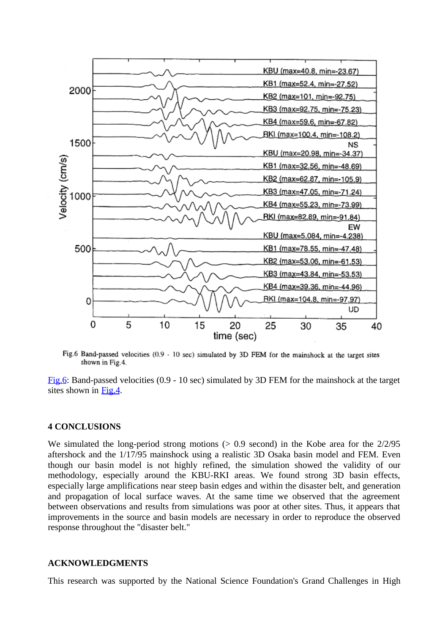

Fig.6 Band-passed velocities (0.9 - 10 sec) simulated by 3D FEM for the mainshock at the target sites shown in Fig.4.

Fig.6: Band-passed velocities (0.9 - 10 sec) simulated by 3D FEM for the mainshock at the target sites shown in Fig.4.

## **4 CONCLUSIONS**

We simulated the long-period strong motions  $(> 0.9 \text{ second})$  in the Kobe area for the  $2/2/95$ aftershock and the 1/17/95 mainshock using a realistic 3D Osaka basin model and FEM. Even though our basin model is not highly refined, the simulation showed the validity of our methodology, especially around the KBU-RKI areas. We found strong 3D basin effects, especially large amplifications near steep basin edges and within the disaster belt, and generation and propagation of local surface waves. At the same time we observed that the agreement between observations and results from simulations was poor at other sites. Thus, it appears that improvements in the source and basin models are necessary in order to reproduce the observed response throughout the "disaster belt."

## **ACKNOWLEDGMENTS**

This research was supported by the National Science Foundation's Grand Challenges in High